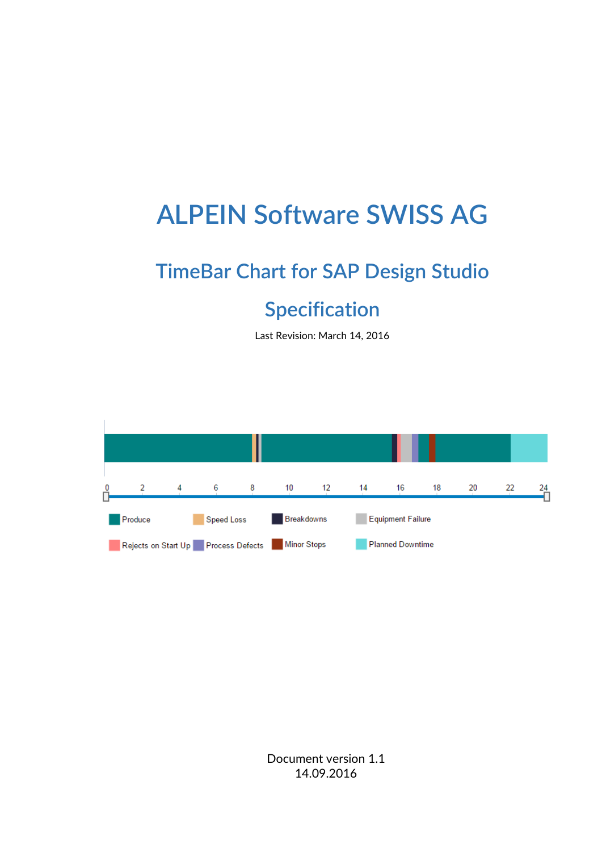# **ALPEIN Software SWISS AG**

# **TimeBar Chart for SAP Design Studio**

# **Specification**

Last Revision: March 14, 2016



Document version 1.1 14.09.2016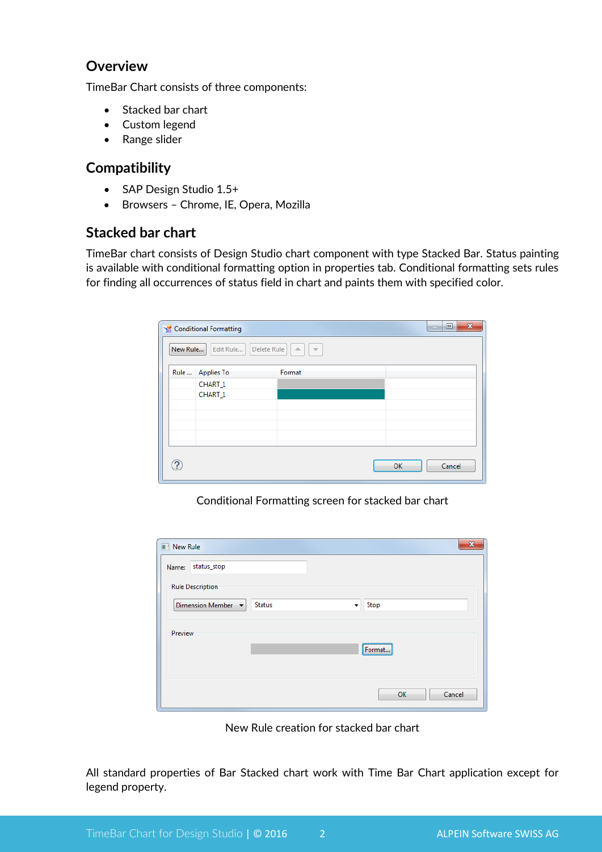#### **Overview**

TimeBar Chart consists of three components:

- Stacked bar chart
- Custom legend
- Range slider

#### **Compatibility**

- SAP Design Studio 1.5+
- Browsers Chrome, IE, Opera, Mozilla

#### **Stacked bar chart**

TimeBar chart consists of Design Studio chart component with type Stacked Bar. Status painting is available with conditional formatting option in properties tab. Conditional formatting sets rules for finding all occurrences of status field in chart and paints them with specified color.

| $\mathbf{x}$<br>$\Box$<br>Conditional Formatting<br>$\sim$<br>Delete Rule<br>New Rule<br>Edit Rule<br>$\Delta$<br>$\overline{\phantom{a}}$ |                    |  |              |  |  |  |  |
|--------------------------------------------------------------------------------------------------------------------------------------------|--------------------|--|--------------|--|--|--|--|
|                                                                                                                                            |                    |  |              |  |  |  |  |
|                                                                                                                                            | CHART <sub>1</sub> |  |              |  |  |  |  |
|                                                                                                                                            | CHART <sub>1</sub> |  |              |  |  |  |  |
|                                                                                                                                            |                    |  |              |  |  |  |  |
|                                                                                                                                            |                    |  |              |  |  |  |  |
|                                                                                                                                            |                    |  |              |  |  |  |  |
|                                                                                                                                            |                    |  |              |  |  |  |  |
| ႗                                                                                                                                          |                    |  | Cancel<br>OK |  |  |  |  |

Conditional Formatting screen for stacked bar chart

| <b>New Rule</b>          |               |                                          |  |  |  |
|--------------------------|---------------|------------------------------------------|--|--|--|
| status_stop<br>Name:     |               |                                          |  |  |  |
| <b>Rule Description</b>  |               |                                          |  |  |  |
| Dimension Member $\star$ | <b>Status</b> | Stop<br>$\overline{\phantom{a}}$         |  |  |  |
| Preview                  |               |                                          |  |  |  |
|                          |               | ,,,,,,,,,,,,,,,,,,,,,,,,,,<br>Format<br> |  |  |  |
|                          |               |                                          |  |  |  |
|                          |               | Cancel<br>OK                             |  |  |  |
|                          |               |                                          |  |  |  |

New Rule creation for stacked bar chart

All standard properties of Bar Stacked chart work with Time Bar Chart application except for legend property.